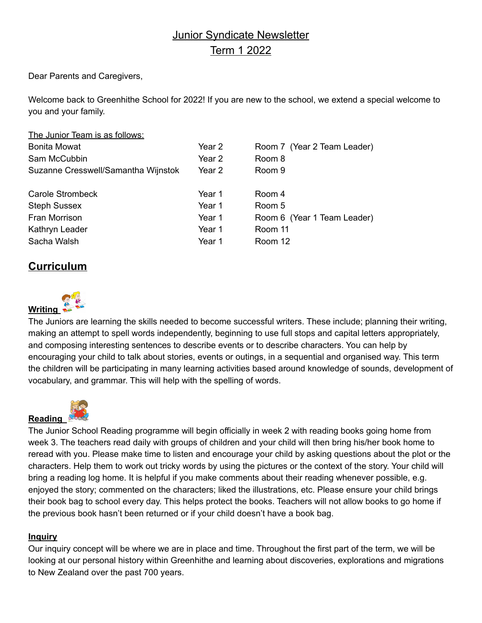# Junior Syndicate Newsletter Term 1 2022

Dear Parents and Caregivers,

Welcome back to Greenhithe School for 2022! If you are new to the school, we extend a special welcome to you and your family.

| The Junior Team is as follows:      |        |                             |
|-------------------------------------|--------|-----------------------------|
| <b>Bonita Mowat</b>                 | Year 2 | Room 7 (Year 2 Team Leader) |
| Sam McCubbin                        | Year 2 | Room 8                      |
| Suzanne Cresswell/Samantha Wijnstok | Year 2 | Room 9                      |
| Carole Strombeck                    | Year 1 | Room 4                      |
| <b>Steph Sussex</b>                 | Year 1 | Room 5                      |
| Fran Morrison                       | Year 1 | Room 6 (Year 1 Team Leader) |
| Kathryn Leader                      | Year 1 | Room 11                     |
| Sacha Walsh                         | Year 1 | Room 12                     |

## **Curriculum**



The Juniors are learning the skills needed to become successful writers. These include; planning their writing, making an attempt to spell words independently, beginning to use full stops and capital letters appropriately, and composing interesting sentences to describe events or to describe characters. You can help by encouraging your child to talk about stories, events or outings, in a sequential and organised way. This term the children will be participating in many learning activities based around knowledge of sounds, development of vocabulary, and grammar. This will help with the spelling of words.



The Junior School Reading programme will begin officially in week 2 with reading books going home from week 3. The teachers read daily with groups of children and your child will then bring his/her book home to reread with you. Please make time to listen and encourage your child by asking questions about the plot or the characters. Help them to work out tricky words by using the pictures or the context of the story. Your child will bring a reading log home. It is helpful if you make comments about their reading whenever possible, e.g. enjoyed the story; commented on the characters; liked the illustrations, etc. Please ensure your child brings their book bag to school every day. This helps protect the books. Teachers will not allow books to go home if the previous book hasn't been returned or if your child doesn't have a book bag.

### **Inquiry**

Our inquiry concept will be where we are in place and time. Throughout the first part of the term, we will be looking at our personal history within Greenhithe and learning about discoveries, explorations and migrations to New Zealand over the past 700 years.